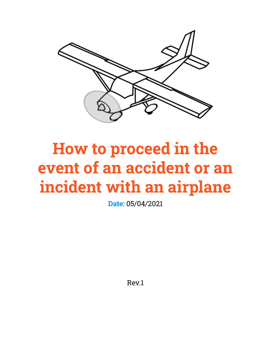

## **How to proceed in the event of an accident or an incident with an airplane**

**Date:** 05/04/2021

Rev.1